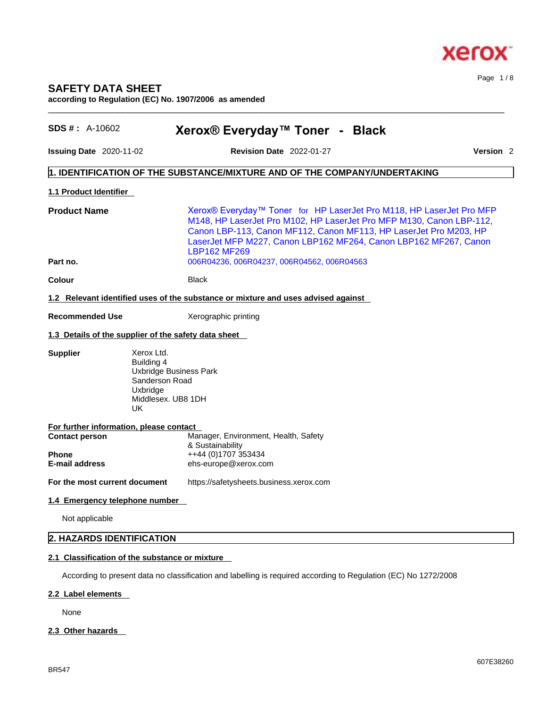

## **SAFETY DATA SHEET according to Regulation (EC) No. 1907/2006 as amended**

| $SDS #: A-10602$                                               | Xerox® Everyday™ Toner - Black                                                                                                                                                                                                                                                                               |                      |
|----------------------------------------------------------------|--------------------------------------------------------------------------------------------------------------------------------------------------------------------------------------------------------------------------------------------------------------------------------------------------------------|----------------------|
| <b>Issuing Date 2020-11-02</b>                                 | <b>Revision Date</b> 2022-01-27                                                                                                                                                                                                                                                                              | Version <sub>2</sub> |
|                                                                | 1. IDENTIFICATION OF THE SUBSTANCE/MIXTURE AND OF THE COMPANY/UNDERTAKING                                                                                                                                                                                                                                    |                      |
| 1.1 Product Identifier                                         |                                                                                                                                                                                                                                                                                                              |                      |
| <b>Product Name</b>                                            | Xerox® Everyday™ Toner for HP LaserJet Pro M118, HP LaserJet Pro MFP<br>M148, HP LaserJet Pro M102, HP LaserJet Pro MFP M130, Canon LBP-112,<br>Canon LBP-113, Canon MF112, Canon MF113, HP LaserJet Pro M203, HP<br>LaserJet MFP M227, Canon LBP162 MF264, Canon LBP162 MF267, Canon<br><b>LBP162 MF269</b> |                      |
| Part no.                                                       | 006R04236, 006R04237, 006R04562, 006R04563                                                                                                                                                                                                                                                                   |                      |
| Colour                                                         | <b>Black</b>                                                                                                                                                                                                                                                                                                 |                      |
|                                                                | 1.2 Relevant identified uses of the substance or mixture and uses advised against                                                                                                                                                                                                                            |                      |
| <b>Recommended Use</b>                                         | Xerographic printing                                                                                                                                                                                                                                                                                         |                      |
|                                                                | 1.3 Details of the supplier of the safety data sheet                                                                                                                                                                                                                                                         |                      |
| <b>Supplier</b>                                                | Xerox Ltd.<br>Building 4<br><b>Uxbridge Business Park</b><br>Sanderson Road<br>Uxbridge<br>Middlesex. UB8 1DH<br>UK                                                                                                                                                                                          |                      |
| For further information, please contact                        |                                                                                                                                                                                                                                                                                                              |                      |
| <b>Contact person</b><br><b>Phone</b><br><b>E-mail address</b> | Manager, Environment, Health, Safety<br>& Sustainability<br>++44 (0)1707 353434<br>ehs-europe@xerox.com                                                                                                                                                                                                      |                      |
| For the most current document                                  | https://safetysheets.business.xerox.com                                                                                                                                                                                                                                                                      |                      |
| 1.4 Emergency telephone number                                 |                                                                                                                                                                                                                                                                                                              |                      |
| Not applicable                                                 |                                                                                                                                                                                                                                                                                                              |                      |
| 2. HAZARDS IDENTIFICATION                                      |                                                                                                                                                                                                                                                                                                              |                      |
|                                                                | 2.1 Classification of the substance or mixture                                                                                                                                                                                                                                                               |                      |
|                                                                |                                                                                                                                                                                                                                                                                                              |                      |

 $\_$  ,  $\_$  ,  $\_$  ,  $\_$  ,  $\_$  ,  $\_$  ,  $\_$  ,  $\_$  ,  $\_$  ,  $\_$  ,  $\_$  ,  $\_$  ,  $\_$  ,  $\_$  ,  $\_$  ,  $\_$  ,  $\_$  ,  $\_$  ,  $\_$  ,  $\_$  ,  $\_$  ,  $\_$  ,  $\_$  ,  $\_$  ,  $\_$  ,  $\_$  ,  $\_$  ,  $\_$  ,  $\_$  ,  $\_$  ,  $\_$  ,  $\_$  ,  $\_$  ,  $\_$  ,  $\_$  ,  $\_$  ,  $\_$  ,

According to present data no classification and labelling is required according to Regulation (EC) No 1272/2008

## **2.2 Label elements**

None

## **2.3 Other hazards**

Page 1 / 8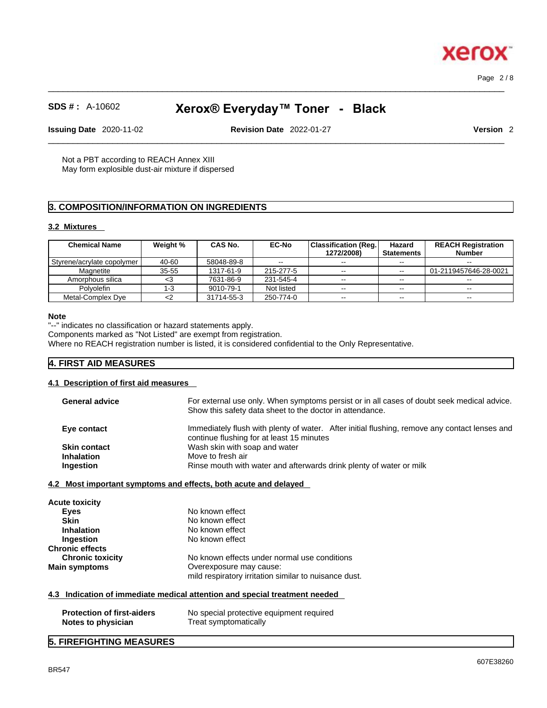$\_$  ,  $\_$  ,  $\_$  ,  $\_$  ,  $\_$  ,  $\_$  ,  $\_$  ,  $\_$  ,  $\_$  ,  $\_$  ,  $\_$  ,  $\_$  ,  $\_$  ,  $\_$  ,  $\_$  ,  $\_$  ,  $\_$  ,  $\_$  ,  $\_$  ,  $\_$  ,  $\_$  ,  $\_$  ,  $\_$  ,  $\_$  ,  $\_$  ,  $\_$  ,  $\_$  ,  $\_$  ,  $\_$  ,  $\_$  ,  $\_$  ,  $\_$  ,  $\_$  ,  $\_$  ,  $\_$  ,  $\_$  ,  $\_$  , Page 2 / 8

xero

## **SDS # :** A-10602 **Xerox® Everyday™ Toner - Black**

**Issuing Date** 2020-11-02 **Revision Date** 2022-01-27 **Version** 2

 $\_$  ,  $\_$  ,  $\_$  ,  $\_$  ,  $\_$  ,  $\_$  ,  $\_$  ,  $\_$  ,  $\_$  ,  $\_$  ,  $\_$  ,  $\_$  ,  $\_$  ,  $\_$  ,  $\_$  ,  $\_$  ,  $\_$  ,  $\_$  ,  $\_$  ,  $\_$  ,  $\_$  ,  $\_$  ,  $\_$  ,  $\_$  ,  $\_$  ,  $\_$  ,  $\_$  ,  $\_$  ,  $\_$  ,  $\_$  ,  $\_$  ,  $\_$  ,  $\_$  ,  $\_$  ,  $\_$  ,  $\_$  ,  $\_$  ,

Not a PBT according to REACH Annex XIII May form explosible dust-air mixture if dispersed

## **3. COMPOSITION/INFORMATION ON INGREDIENTS**

#### **3.2 Mixtures**

| <b>Chemical Name</b>         | Weight % | <b>CAS No.</b> | <b>EC-No</b> | <b>Classification (Reg.)</b> | Hazard            | <b>REACH Registration</b> |
|------------------------------|----------|----------------|--------------|------------------------------|-------------------|---------------------------|
|                              |          |                |              | 1272/2008)                   | <b>Statements</b> | <b>Number</b>             |
| Styrene/acrylate copolymer I | 40-60    | 58048-89-8     | $-$          | $\sim$ $\sim$                | $- -$             | $- -$                     |
| Magnetite                    | 35-55    | 1317-61-9      | 215-277-5    | $\sim$ $\sim$                | $\sim$ $\sim$     | 01-2119457646-28-0021     |
| Amorphous silica             | <. 3     | 7631-86-9      | 231-545-4    | $- -$                        | $\sim$ $\sim$     | $- -$                     |
| <b>Polvolefin</b>            | 1-3      | 9010-79-1      | Not listed   | --                           | $- -$             | $-1$                      |
| Metal-Complex Dye            | <2       | 31714-55-3     | 250-774-0    | $\sim$ $\sim$                | $\sim$ $\sim$     | $\overline{\phantom{a}}$  |

#### **Note**

"--" indicates no classification or hazard statements apply.

Components marked as "Not Listed" are exempt from registration.

Where no REACH registration number is listed, it is considered confidential to the Only Representative.

## **4. FIRST AID MEASURES**

## **4.1 Description of first aid measures**

| <b>General advice</b> | For external use only. When symptoms persist or in all cases of doubt seek medical advice.<br>Show this safety data sheet to the doctor in attendance. |  |  |  |
|-----------------------|--------------------------------------------------------------------------------------------------------------------------------------------------------|--|--|--|
| Eye contact           | Immediately flush with plenty of water. After initial flushing, remove any contact lenses and<br>continue flushing for at least 15 minutes             |  |  |  |
| <b>Skin contact</b>   | Wash skin with soap and water                                                                                                                          |  |  |  |
| <b>Inhalation</b>     | Move to fresh air                                                                                                                                      |  |  |  |
| <b>Ingestion</b>      | Rinse mouth with water and afterwards drink plenty of water or milk                                                                                    |  |  |  |
|                       |                                                                                                                                                        |  |  |  |

#### **4.2 Most important symptoms and effects, both acute and delayed**

| No known effect                                                                  |
|----------------------------------------------------------------------------------|
| No known effect                                                                  |
| No known effect                                                                  |
| No known effect                                                                  |
|                                                                                  |
| No known effects under normal use conditions                                     |
| Overexposure may cause:<br>mild respiratory irritation similar to nuisance dust. |
|                                                                                  |

## **4.3 Indication of immediate medical attention and special treatment needed**

| <b>Protection of first-aiders</b> | No special protective equipment required |
|-----------------------------------|------------------------------------------|
| Notes to physician                | Treat symptomatically                    |

## **5. FIREFIGHTING MEASURES**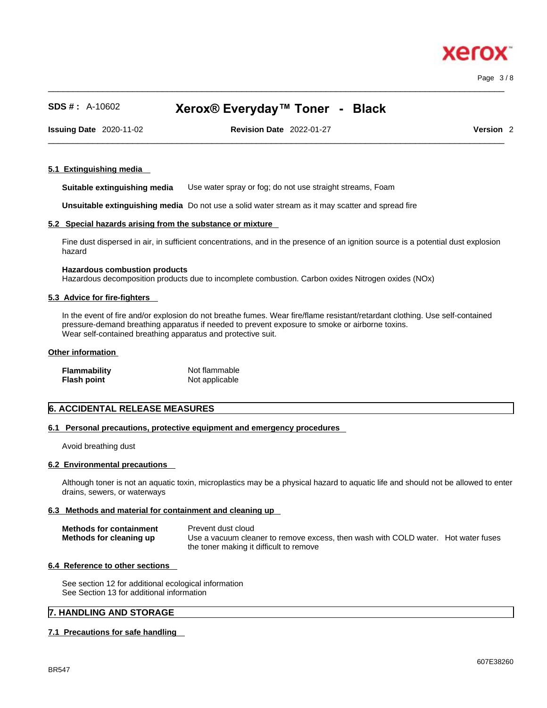$\_$  ,  $\_$  ,  $\_$  ,  $\_$  ,  $\_$  ,  $\_$  ,  $\_$  ,  $\_$  ,  $\_$  ,  $\_$  ,  $\_$  ,  $\_$  ,  $\_$  ,  $\_$  ,  $\_$  ,  $\_$  ,  $\_$  ,  $\_$  ,  $\_$  ,  $\_$  ,  $\_$  ,  $\_$  ,  $\_$  ,  $\_$  ,  $\_$  ,  $\_$  ,  $\_$  ,  $\_$  ,  $\_$  ,  $\_$  ,  $\_$  ,  $\_$  ,  $\_$  ,  $\_$  ,  $\_$  ,  $\_$  ,  $\_$  , Page 3 / 8

xero

## **SDS # :** A-10602 **Xerox® Everyday™ Toner - Black**

**Issuing Date** 2020-11-02 **Revision Date** 2022-01-27 **Version** 2

 $\_$  ,  $\_$  ,  $\_$  ,  $\_$  ,  $\_$  ,  $\_$  ,  $\_$  ,  $\_$  ,  $\_$  ,  $\_$  ,  $\_$  ,  $\_$  ,  $\_$  ,  $\_$  ,  $\_$  ,  $\_$  ,  $\_$  ,  $\_$  ,  $\_$  ,  $\_$  ,  $\_$  ,  $\_$  ,  $\_$  ,  $\_$  ,  $\_$  ,  $\_$  ,  $\_$  ,  $\_$  ,  $\_$  ,  $\_$  ,  $\_$  ,  $\_$  ,  $\_$  ,  $\_$  ,  $\_$  ,  $\_$  ,  $\_$  ,

#### **5.1 Extinguishing media**

**Suitable extinguishing media** Use water spray or fog; do not use straight streams, Foam

**Unsuitable extinguishing media** Do not use a solid water stream as it may scatterand spread fire

#### **5.2 Special hazards arising from the substance or mixture**

Fine dust dispersed in air, in sufficient concentrations, and in the presence of an ignition source is a potential dust explosion hazard

#### **Hazardous combustion products**

Hazardous decomposition products due to incomplete combustion. Carbon oxides Nitrogen oxides (NOx)

#### **5.3 Advice for fire-fighters**

In the event of fire and/or explosion do not breathe fumes. Wear fire/flame resistant/retardant clothing. Use self-contained pressure-demand breathing apparatus if needed to prevent exposure to smoke or airborne toxins. Wear self-contained breathing apparatus and protective suit.

#### **Other information**

| <b>Flammability</b> | Not flammable  |
|---------------------|----------------|
| <b>Flash point</b>  | Not applicable |

## **6. ACCIDENTAL RELEASE MEASURES**

### **6.1 Personal precautions, protective equipment and emergency procedures**

Avoid breathing dust

#### **6.2 Environmental precautions**

Although toner is not an aquatic toxin, microplastics may be a physical hazard to aquatic life and should not be allowed to enter drains, sewers, or waterways

#### **6.3 Methods and material for containment and cleaning up**

| <b>Methods for containment</b> | Prevent dust cloud                                                                |
|--------------------------------|-----------------------------------------------------------------------------------|
| Methods for cleaning up        | Use a vacuum cleaner to remove excess, then wash with COLD water. Hot water fuses |
|                                | the toner making it difficult to remove                                           |

#### **6.4 Reference to other sections**

See section 12 for additional ecological information See Section 13 for additional information

## **7. HANDLING AND STORAGE**

#### **7.1 Precautions for safe handling**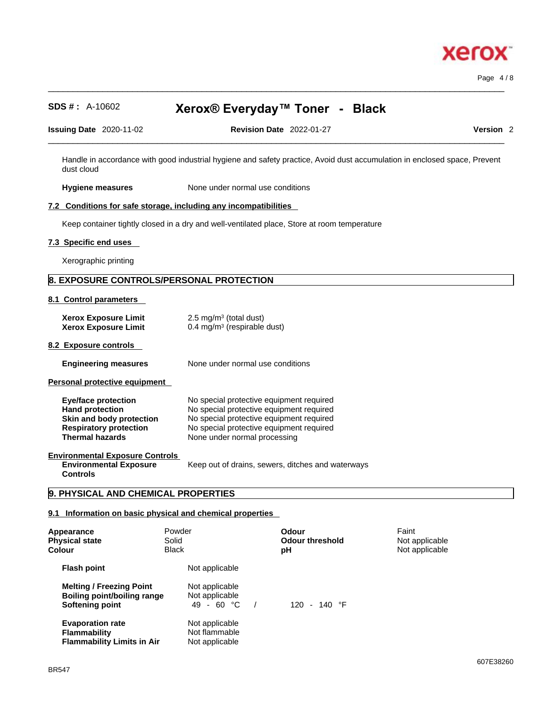

Page 4 / 8

## **SDS # :** A-10602 **Xerox® Everyday™ Toner - Black**

 $\_$  ,  $\_$  ,  $\_$  ,  $\_$  ,  $\_$  ,  $\_$  ,  $\_$  ,  $\_$  ,  $\_$  ,  $\_$  ,  $\_$  ,  $\_$  ,  $\_$  ,  $\_$  ,  $\_$  ,  $\_$  ,  $\_$  ,  $\_$  ,  $\_$  ,  $\_$  ,  $\_$  ,  $\_$  ,  $\_$  ,  $\_$  ,  $\_$  ,  $\_$  ,  $\_$  ,  $\_$  ,  $\_$  ,  $\_$  ,  $\_$  ,  $\_$  ,  $\_$  ,  $\_$  ,  $\_$  ,  $\_$  ,  $\_$  ,

| 2020-1<br><b>Issuing Date</b> | $1 - 02$<br><b>A</b> A | Date<br><b>Revision</b> | 2022-01-27 | <b>Version</b> |  |
|-------------------------------|------------------------|-------------------------|------------|----------------|--|
|                               |                        |                         |            |                |  |

Handle in accordance with good industrial hygiene and safety practice, Avoid dust accumulation in enclosed space, Prevent dust cloud

**Hygiene measures** None under normal use conditions

## **7.2 Conditions for safe storage, including any incompatibilities**

Keep container tightly closed in a dry and well-ventilated place, Store at room temperature

#### **7.3 Specific end uses**

Xerographic printing

## **8. EXPOSURE CONTROLS/PERSONAL PROTECTION**

#### **8.1 Control parameters**

| <b>Xerox Exposure Limit</b><br><b>Xerox Exposure Limit</b>                                                                                  | $2.5 \text{ mg/m}^3$ (total dust)<br>$0.4 \text{ mg/m}^3$ (respirable dust)                                                                                                                                  |
|---------------------------------------------------------------------------------------------------------------------------------------------|--------------------------------------------------------------------------------------------------------------------------------------------------------------------------------------------------------------|
| 8.2 Exposure controls                                                                                                                       |                                                                                                                                                                                                              |
| <b>Engineering measures</b>                                                                                                                 | None under normal use conditions                                                                                                                                                                             |
| Personal protective equipment                                                                                                               |                                                                                                                                                                                                              |
| <b>Eye/face protection</b><br><b>Hand protection</b><br>Skin and body protection<br><b>Respiratory protection</b><br><b>Thermal hazards</b> | No special protective equipment required<br>No special protective equipment required<br>No special protective equipment required<br>No special protective equipment required<br>None under normal processing |
| <b>Environmental Exposure Controls</b><br><b>Environmental Exposure</b>                                                                     | Keep out of drains, sewers, ditches and waterways                                                                                                                                                            |

**Environmental Exposure Controls** 

**9. PHYSICAL AND CHEMICAL PROPERTIES**

## **9.1 Information on basic physical and chemical properties**

| Appearance<br><b>Physical state</b><br>Colour                                            | Powder<br>Solid<br><b>Black</b> |                                                   | Odour<br><b>Odour threshold</b><br>рH | Faint<br>Not applicable<br>Not applicable |
|------------------------------------------------------------------------------------------|---------------------------------|---------------------------------------------------|---------------------------------------|-------------------------------------------|
| <b>Flash point</b>                                                                       |                                 | Not applicable                                    |                                       |                                           |
| <b>Melting / Freezing Point</b><br><b>Boiling point/boiling range</b><br>Softening point |                                 | Not applicable<br>Not applicable<br>49 - 60 °C    | 120 - 140 $\degree$ F                 |                                           |
| <b>Evaporation rate</b><br><b>Flammability</b><br><b>Flammability Limits in Air</b>      |                                 | Not applicable<br>Not flammable<br>Not applicable |                                       |                                           |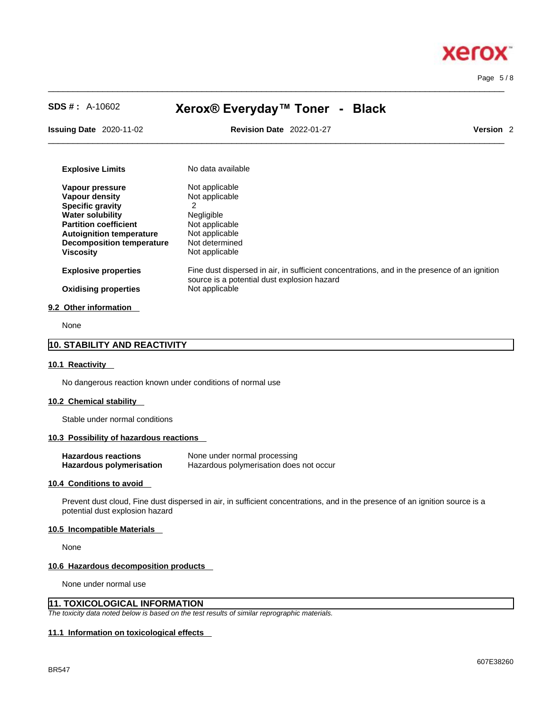# **Xerox** Page 5 / 8

| $SDS #: A-10602$                                                    | Xerox® Everyday™ Toner - Black                                                                                                              |                      |  |  |  |
|---------------------------------------------------------------------|---------------------------------------------------------------------------------------------------------------------------------------------|----------------------|--|--|--|
| <b>Issuing Date</b> 2020-11-02                                      | <b>Revision Date 2022-01-27</b>                                                                                                             | Version <sub>2</sub> |  |  |  |
| <b>Explosive Limits</b>                                             | No data available                                                                                                                           |                      |  |  |  |
| Vapour pressure                                                     | Not applicable                                                                                                                              |                      |  |  |  |
| Vapour density                                                      | Not applicable                                                                                                                              |                      |  |  |  |
| <b>Specific gravity</b>                                             | 2                                                                                                                                           |                      |  |  |  |
| <b>Water solubility</b>                                             | Negligible                                                                                                                                  |                      |  |  |  |
| <b>Partition coefficient</b>                                        | Not applicable                                                                                                                              |                      |  |  |  |
| <b>Autoignition temperature</b><br><b>Decomposition temperature</b> | Not applicable<br>Not determined                                                                                                            |                      |  |  |  |
| <b>Viscosity</b>                                                    | Not applicable                                                                                                                              |                      |  |  |  |
| <b>Explosive properties</b>                                         | Fine dust dispersed in air, in sufficient concentrations, and in the presence of an ignition<br>source is a potential dust explosion hazard |                      |  |  |  |
| <b>Oxidising properties</b>                                         | Not applicable                                                                                                                              |                      |  |  |  |

 $\_$  ,  $\_$  ,  $\_$  ,  $\_$  ,  $\_$  ,  $\_$  ,  $\_$  ,  $\_$  ,  $\_$  ,  $\_$  ,  $\_$  ,  $\_$  ,  $\_$  ,  $\_$  ,  $\_$  ,  $\_$  ,  $\_$  ,  $\_$  ,  $\_$  ,  $\_$  ,  $\_$  ,  $\_$  ,  $\_$  ,  $\_$  ,  $\_$  ,  $\_$  ,  $\_$  ,  $\_$  ,  $\_$  ,  $\_$  ,  $\_$  ,  $\_$  ,  $\_$  ,  $\_$  ,  $\_$  ,  $\_$  ,  $\_$  ,

None

## **10. STABILITY AND REACTIVITY**

#### **10.1 Reactivity**

No dangerous reaction known under conditions of normal use

#### **10.2 Chemical stability**

Stable under normal conditions

## **10.3 Possibility of hazardous reactions**

| <b>Hazardous reactions</b>      | None under normal processing            |
|---------------------------------|-----------------------------------------|
| <b>Hazardous polymerisation</b> | Hazardous polymerisation does not occur |

#### **10.4 Conditions to avoid**

Prevent dust cloud, Fine dust dispersed in air, in sufficient concentrations, and in the presence of an ignition source is a potential dust explosion hazard

### **10.5 Incompatible Materials**

None

#### **10.6 Hazardous decomposition products**

None under normal use

## **11. TOXICOLOGICAL INFORMATION**

*The toxicity data noted below is based on the test results of similar reprographic materials.* 

#### **11.1 Information on toxicological effects**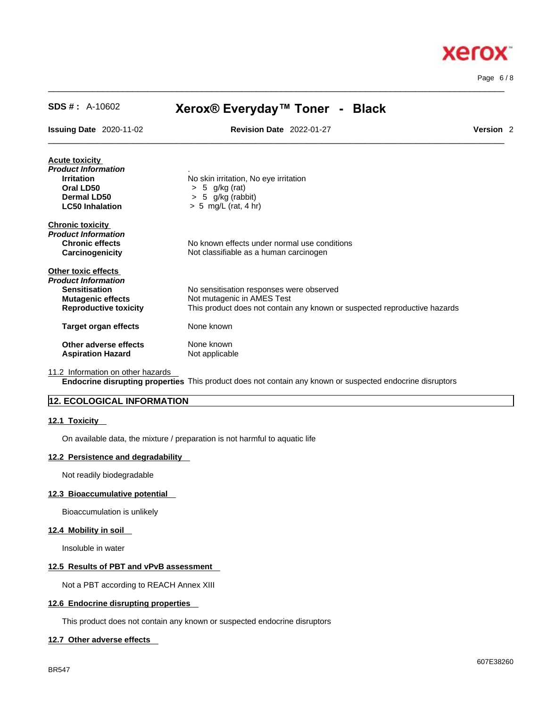

Page 6 / 8

| <b>SDS #: A-10602</b>                                                                                   | Xerox® Everyday™ Toner - Black                                                                                                                      |                      |  |
|---------------------------------------------------------------------------------------------------------|-----------------------------------------------------------------------------------------------------------------------------------------------------|----------------------|--|
| <b>Issuing Date 2020-11-02</b>                                                                          | <b>Revision Date 2022-01-27</b>                                                                                                                     | Version <sub>2</sub> |  |
| <b>Acute toxicity</b>                                                                                   |                                                                                                                                                     |                      |  |
| Product Information<br><b>Irritation</b><br>Oral LD50<br><b>Dermal LD50</b>                             | No skin irritation, No eye irritation<br>$> 5$ g/kg (rat)<br>$> 5$ g/kg (rabbit)                                                                    |                      |  |
| <b>LC50 Inhalation</b>                                                                                  | $> 5$ mg/L (rat, 4 hr)                                                                                                                              |                      |  |
| <b>Chronic toxicity</b><br>Product Information<br><b>Chronic effects</b><br>Carcinogenicity             | No known effects under normal use conditions<br>Not classifiable as a human carcinogen                                                              |                      |  |
| Other toxic effects                                                                                     |                                                                                                                                                     |                      |  |
| Product Information<br><b>Sensitisation</b><br><b>Mutagenic effects</b><br><b>Reproductive toxicity</b> | No sensitisation responses were observed<br>Not mutagenic in AMES Test<br>This product does not contain any known or suspected reproductive hazards |                      |  |
| <b>Target organ effects</b>                                                                             | None known                                                                                                                                          |                      |  |
| Other adverse effects<br><b>Aspiration Hazard</b>                                                       | None known<br>Not applicable                                                                                                                        |                      |  |
|                                                                                                         |                                                                                                                                                     |                      |  |

 $\_$  ,  $\_$  ,  $\_$  ,  $\_$  ,  $\_$  ,  $\_$  ,  $\_$  ,  $\_$  ,  $\_$  ,  $\_$  ,  $\_$  ,  $\_$  ,  $\_$  ,  $\_$  ,  $\_$  ,  $\_$  ,  $\_$  ,  $\_$  ,  $\_$  ,  $\_$  ,  $\_$  ,  $\_$  ,  $\_$  ,  $\_$  ,  $\_$  ,  $\_$  ,  $\_$  ,  $\_$  ,  $\_$  ,  $\_$  ,  $\_$  ,  $\_$  ,  $\_$  ,  $\_$  ,  $\_$  ,  $\_$  ,  $\_$  ,

11.2 Information on other hazards

**Endocrine disrupting properties** This product does not contain any known or suspected endocrine disruptors

## **12. ECOLOGICAL INFORMATION**

#### **12.1 Toxicity**

On available data, the mixture / preparation is not harmful to aquatic life

## **12.2 Persistence and degradability**

Not readily biodegradable

#### **12.3 Bioaccumulative potential**

Bioaccumulation is unlikely

## **12.4 Mobility in soil**

Insoluble in water

## **12.5 Results of PBT and vPvB assessment**

Not a PBT according to REACH Annex XIII

#### **12.6 Endocrine disrupting properties**

This product does not contain any known or suspected endocrine disruptors

## **12.7 Other adverse effects**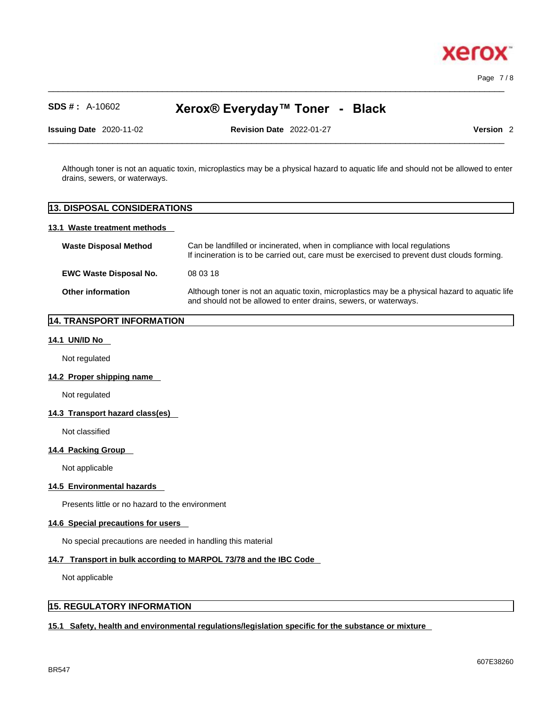

Page 7 / 8

# **SDS # :** A-10602 **Xerox® Everyday™ Toner - Black**

 $\_$  ,  $\_$  ,  $\_$  ,  $\_$  ,  $\_$  ,  $\_$  ,  $\_$  ,  $\_$  ,  $\_$  ,  $\_$  ,  $\_$  ,  $\_$  ,  $\_$  ,  $\_$  ,  $\_$  ,  $\_$  ,  $\_$  ,  $\_$  ,  $\_$  ,  $\_$  ,  $\_$  ,  $\_$  ,  $\_$  ,  $\_$  ,  $\_$  ,  $\_$  ,  $\_$  ,  $\_$  ,  $\_$  ,  $\_$  ,  $\_$  ,  $\_$  ,  $\_$  ,  $\_$  ,  $\_$  ,  $\_$  ,  $\_$  ,

**Issuing Date** 2020-11-02 **Revision Date** 2022-01-27 **Version** 2

Although toner is not an aquatic toxin, microplastics may be a physical hazard to aquatic life and should not be allowed to enter drains, sewers, or waterways.

 $\_$  ,  $\_$  ,  $\_$  ,  $\_$  ,  $\_$  ,  $\_$  ,  $\_$  ,  $\_$  ,  $\_$  ,  $\_$  ,  $\_$  ,  $\_$  ,  $\_$  ,  $\_$  ,  $\_$  ,  $\_$  ,  $\_$  ,  $\_$  ,  $\_$  ,  $\_$  ,  $\_$  ,  $\_$  ,  $\_$  ,  $\_$  ,  $\_$  ,  $\_$  ,  $\_$  ,  $\_$  ,  $\_$  ,  $\_$  ,  $\_$  ,  $\_$  ,  $\_$  ,  $\_$  ,  $\_$  ,  $\_$  ,  $\_$  ,

## **13. DISPOSAL CONSIDERATIONS**

#### **13.1 Waste treatment methods**

| <b>Waste Disposal Method</b>  | Can be landfilled or incinerated, when in compliance with local regulations<br>If incineration is to be carried out, care must be exercised to prevent dust clouds forming. |  |
|-------------------------------|-----------------------------------------------------------------------------------------------------------------------------------------------------------------------------|--|
| <b>EWC Waste Disposal No.</b> | 08 03 18                                                                                                                                                                    |  |
| <b>Other information</b>      | Although toner is not an aquatic toxin, microplastics may be a physical hazard to aquatic life<br>and should not be allowed to enter drains, sewers, or waterways.          |  |

## **14. TRANSPORT INFORMATION**

### **14.1 UN/ID No**

Not regulated

#### **14.2 Proper shipping name**

Not regulated

## **14.3 Transport hazard class(es)**

Not classified

#### **14.4 Packing Group**

Not applicable

## **14.5 Environmental hazards**

Presents little or no hazard to the environment

#### **14.6 Special precautions for users**

No special precautions are needed in handling this material

## **14.7 Transport in bulk according to MARPOL 73/78 and the IBC Code**

Not applicable

## **15. REGULATORY INFORMATION**

## **15.1 Safety, health and environmental regulations/legislation specific for the substance or mixture**